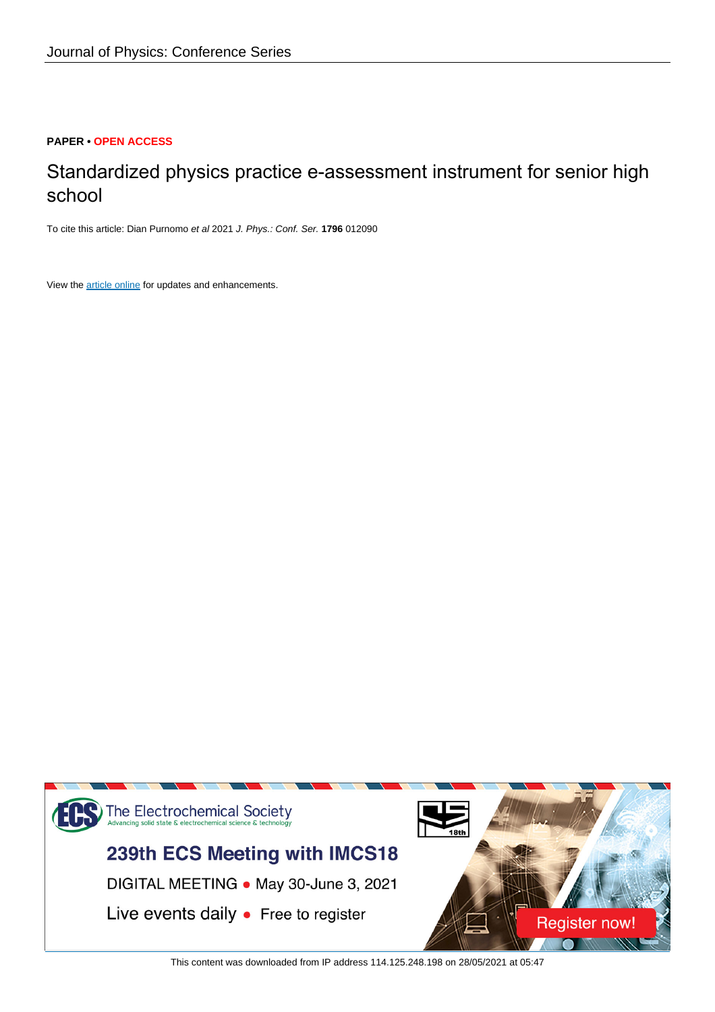## **PAPER • OPEN ACCESS**

# Standardized physics practice e-assessment instrument for senior high school

To cite this article: Dian Purnomo et al 2021 J. Phys.: Conf. Ser. **1796** 012090

View the [article online](https://doi.org/10.1088/1742-6596/1796/1/012090) for updates and enhancements.



This content was downloaded from IP address 114.125.248.198 on 28/05/2021 at 05:47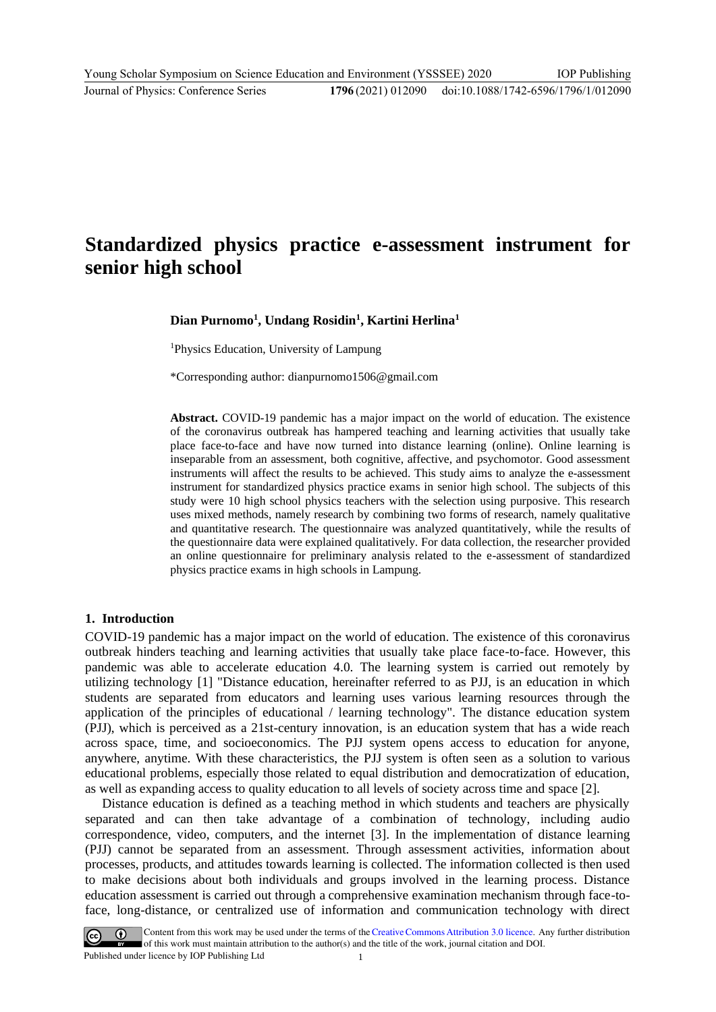## **Standardized physics practice e-assessment instrument for senior high school**

### **Dian Purnomo<sup>1</sup> , Undang Rosidin<sup>1</sup> , Kartini Herlina<sup>1</sup>**

<sup>1</sup>Physics Education, University of Lampung

\*Corresponding author: dianpurnomo1506@gmail.com

**Abstract.** COVID-19 pandemic has a major impact on the world of education. The existence of the coronavirus outbreak has hampered teaching and learning activities that usually take place face-to-face and have now turned into distance learning (online). Online learning is inseparable from an assessment, both cognitive, affective, and psychomotor. Good assessment instruments will affect the results to be achieved. This study aims to analyze the e-assessment instrument for standardized physics practice exams in senior high school. The subjects of this study were 10 high school physics teachers with the selection using purposive. This research uses mixed methods, namely research by combining two forms of research, namely qualitative and quantitative research. The questionnaire was analyzed quantitatively, while the results of the questionnaire data were explained qualitatively. For data collection, the researcher provided an online questionnaire for preliminary analysis related to the e-assessment of standardized physics practice exams in high schools in Lampung.

#### **1. Introduction**

COVID-19 pandemic has a major impact on the world of education. The existence of this coronavirus outbreak hinders teaching and learning activities that usually take place face-to-face. However, this pandemic was able to accelerate education 4.0. The learning system is carried out remotely by utilizing technology [1] "Distance education, hereinafter referred to as PJJ, is an education in which students are separated from educators and learning uses various learning resources through the application of the principles of educational / learning technology". The distance education system (PJJ), which is perceived as a 21st-century innovation, is an education system that has a wide reach across space, time, and socioeconomics. The PJJ system opens access to education for anyone, anywhere, anytime. With these characteristics, the PJJ system is often seen as a solution to various educational problems, especially those related to equal distribution and democratization of education, as well as expanding access to quality education to all levels of society across time and space [2].

Distance education is defined as a teaching method in which students and teachers are physically separated and can then take advantage of a combination of technology, including audio correspondence, video, computers, and the internet [3]. In the implementation of distance learning (PJJ) cannot be separated from an assessment. Through assessment activities, information about processes, products, and attitudes towards learning is collected. The information collected is then used to make decisions about both individuals and groups involved in the learning process. Distance education assessment is carried out through a comprehensive examination mechanism through face-toface, long-distance, or centralized use of information and communication technology with direct

Content from this work may be used under the terms of the Creative Commons Attribution 3.0 licence. Any further distribution of this work must maintain attribution to the author(s) and the title of the work, journal citation and DOI. Published under licence by IOP Publishing Ltd 1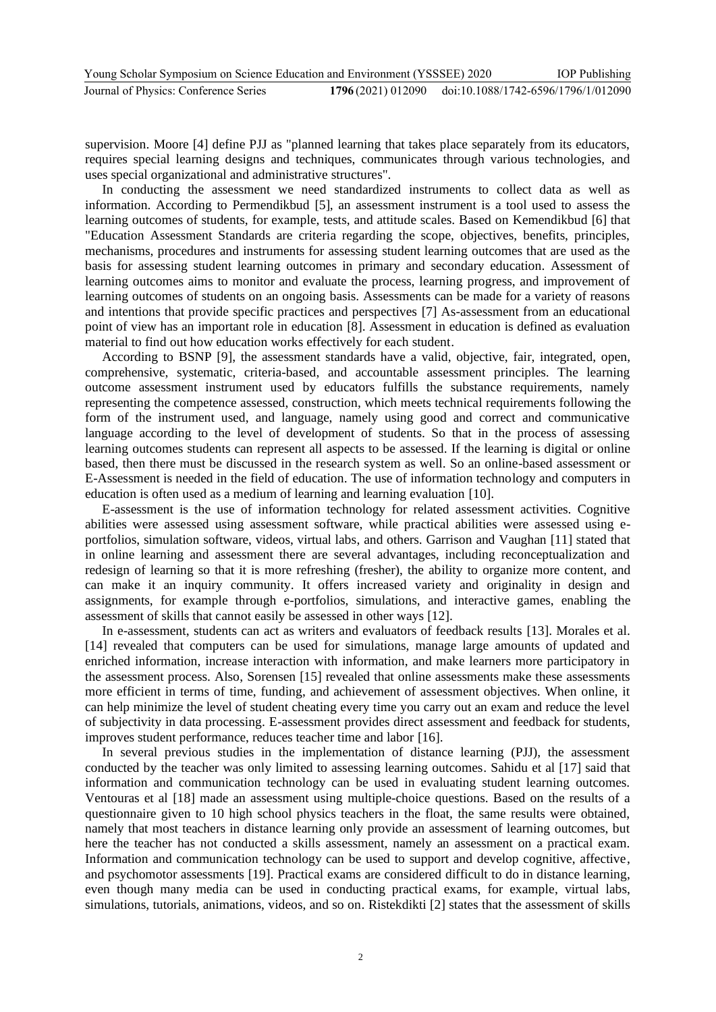supervision. Moore [4] define PJJ as "planned learning that takes place separately from its educators, requires special learning designs and techniques, communicates through various technologies, and uses special organizational and administrative structures".

In conducting the assessment we need standardized instruments to collect data as well as information. According to Permendikbud [5], an assessment instrument is a tool used to assess the learning outcomes of students, for example, tests, and attitude scales. Based on Kemendikbud [6] that "Education Assessment Standards are criteria regarding the scope, objectives, benefits, principles, mechanisms, procedures and instruments for assessing student learning outcomes that are used as the basis for assessing student learning outcomes in primary and secondary education. Assessment of learning outcomes aims to monitor and evaluate the process, learning progress, and improvement of learning outcomes of students on an ongoing basis. Assessments can be made for a variety of reasons and intentions that provide specific practices and perspectives [7] As-assessment from an educational point of view has an important role in education [8]. Assessment in education is defined as evaluation material to find out how education works effectively for each student.

According to BSNP [9], the assessment standards have a valid, objective, fair, integrated, open, comprehensive, systematic, criteria-based, and accountable assessment principles. The learning outcome assessment instrument used by educators fulfills the substance requirements, namely representing the competence assessed, construction, which meets technical requirements following the form of the instrument used, and language, namely using good and correct and communicative language according to the level of development of students. So that in the process of assessing learning outcomes students can represent all aspects to be assessed. If the learning is digital or online based, then there must be discussed in the research system as well. So an online-based assessment or E-Assessment is needed in the field of education. The use of information technology and computers in education is often used as a medium of learning and learning evaluation [10].

E-assessment is the use of information technology for related assessment activities. Cognitive abilities were assessed using assessment software, while practical abilities were assessed using eportfolios, simulation software, videos, virtual labs, and others. Garrison and Vaughan [11] stated that in online learning and assessment there are several advantages, including reconceptualization and redesign of learning so that it is more refreshing (fresher), the ability to organize more content, and can make it an inquiry community. It offers increased variety and originality in design and assignments, for example through e-portfolios, simulations, and interactive games, enabling the assessment of skills that cannot easily be assessed in other ways [12].

In e-assessment, students can act as writers and evaluators of feedback results [13]. Morales et al. [14] revealed that computers can be used for simulations, manage large amounts of updated and enriched information, increase interaction with information, and make learners more participatory in the assessment process. Also, Sorensen [15] revealed that online assessments make these assessments more efficient in terms of time, funding, and achievement of assessment objectives. When online, it can help minimize the level of student cheating every time you carry out an exam and reduce the level of subjectivity in data processing. E-assessment provides direct assessment and feedback for students, improves student performance, reduces teacher time and labor [16].

In several previous studies in the implementation of distance learning (PJJ), the assessment conducted by the teacher was only limited to assessing learning outcomes. Sahidu et al [17] said that information and communication technology can be used in evaluating student learning outcomes. Ventouras et al [18] made an assessment using multiple-choice questions. Based on the results of a questionnaire given to 10 high school physics teachers in the float, the same results were obtained, namely that most teachers in distance learning only provide an assessment of learning outcomes, but here the teacher has not conducted a skills assessment, namely an assessment on a practical exam. Information and communication technology can be used to support and develop cognitive, affective, and psychomotor assessments [19]. Practical exams are considered difficult to do in distance learning, even though many media can be used in conducting practical exams, for example, virtual labs, simulations, tutorials, animations, videos, and so on. Ristekdikti [2] states that the assessment of skills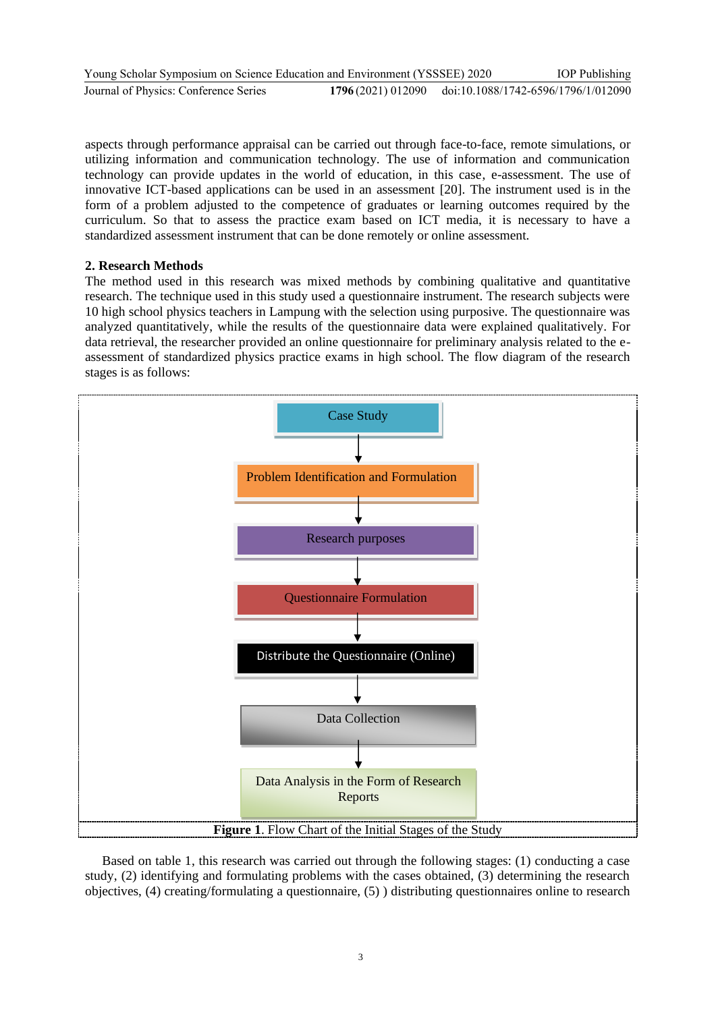| Young Scholar Symposium on Science Education and Environment (YSSSEE) 2020 |                                                       | <b>IOP</b> Publishing |
|----------------------------------------------------------------------------|-------------------------------------------------------|-----------------------|
| Journal of Physics: Conference Series                                      | 1796(2021) 012090 doi:10.1088/1742-6596/1796/1/012090 |                       |

aspects through performance appraisal can be carried out through face-to-face, remote simulations, or utilizing information and communication technology. The use of information and communication technology can provide updates in the world of education, in this case, e-assessment. The use of innovative ICT-based applications can be used in an assessment [20]. The instrument used is in the form of a problem adjusted to the competence of graduates or learning outcomes required by the curriculum. So that to assess the practice exam based on ICT media, it is necessary to have a standardized assessment instrument that can be done remotely or online assessment.

#### **2. Research Methods**

The method used in this research was mixed methods by combining qualitative and quantitative research. The technique used in this study used a questionnaire instrument. The research subjects were 10 high school physics teachers in Lampung with the selection using purposive. The questionnaire was analyzed quantitatively, while the results of the questionnaire data were explained qualitatively. For data retrieval, the researcher provided an online questionnaire for preliminary analysis related to the eassessment of standardized physics practice exams in high school. The flow diagram of the research stages is as follows:



Based on table 1, this research was carried out through the following stages: (1) conducting a case study, (2) identifying and formulating problems with the cases obtained, (3) determining the research objectives, (4) creating/formulating a questionnaire, (5) ) distributing questionnaires online to research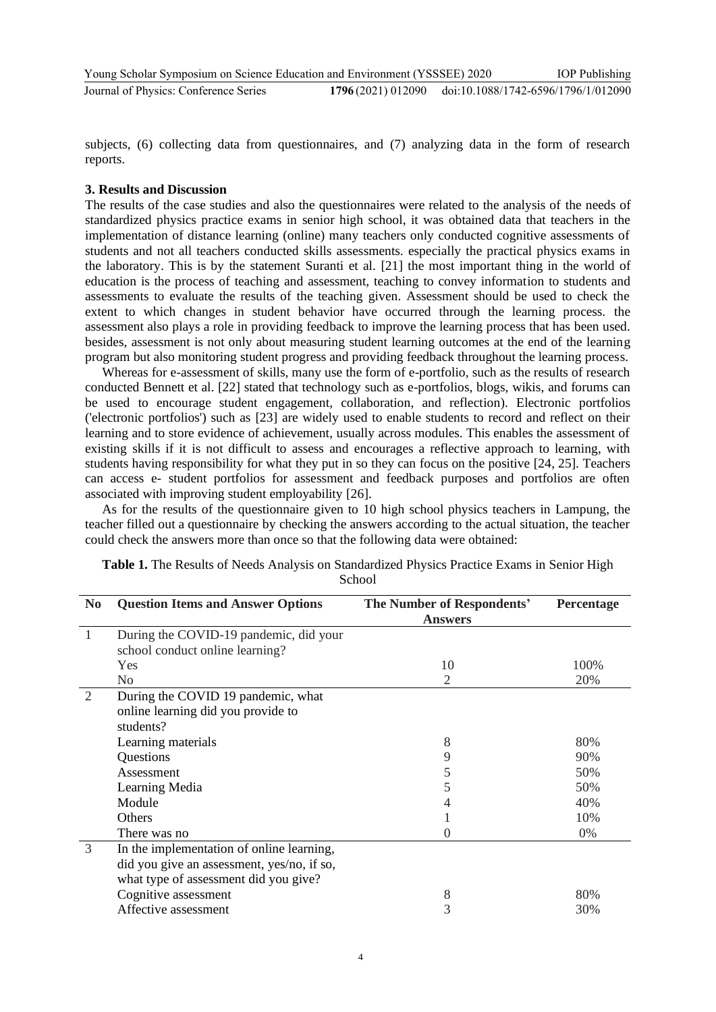subjects, (6) collecting data from questionnaires, and (7) analyzing data in the form of research reports.

#### **3. Results and Discussion**

The results of the case studies and also the questionnaires were related to the analysis of the needs of standardized physics practice exams in senior high school, it was obtained data that teachers in the implementation of distance learning (online) many teachers only conducted cognitive assessments of students and not all teachers conducted skills assessments. especially the practical physics exams in the laboratory. This is by the statement Suranti et al. [21] the most important thing in the world of education is the process of teaching and assessment, teaching to convey information to students and assessments to evaluate the results of the teaching given. Assessment should be used to check the extent to which changes in student behavior have occurred through the learning process. the assessment also plays a role in providing feedback to improve the learning process that has been used. besides, assessment is not only about measuring student learning outcomes at the end of the learning program but also monitoring student progress and providing feedback throughout the learning process.

Whereas for e-assessment of skills, many use the form of e-portfolio, such as the results of research conducted Bennett et al. [22] stated that technology such as e-portfolios, blogs, wikis, and forums can be used to encourage student engagement, collaboration, and reflection). Electronic portfolios ('electronic portfolios') such as [23] are widely used to enable students to record and reflect on their learning and to store evidence of achievement, usually across modules. This enables the assessment of existing skills if it is not difficult to assess and encourages a reflective approach to learning, with students having responsibility for what they put in so they can focus on the positive [24, 25]. Teachers can access e- student portfolios for assessment and feedback purposes and portfolios are often associated with improving student employability [26].

As for the results of the questionnaire given to 10 high school physics teachers in Lampung, the teacher filled out a questionnaire by checking the answers according to the actual situation, the teacher could check the answers more than once so that the following data were obtained:

| N <sub>0</sub> | <b>Question Items and Answer Options</b>   | The Number of Respondents' | Percentage |
|----------------|--------------------------------------------|----------------------------|------------|
|                |                                            | <b>Answers</b>             |            |
| 1              | During the COVID-19 pandemic, did your     |                            |            |
|                | school conduct online learning?            |                            |            |
|                | Yes                                        | 10                         | 100%       |
|                | N <sub>0</sub>                             | 2                          | 20%        |
| $\overline{2}$ | During the COVID 19 pandemic, what         |                            |            |
|                | online learning did you provide to         |                            |            |
|                | students?                                  |                            |            |
|                | Learning materials                         | 8                          | 80%        |
|                | Questions                                  | 9                          | 90%        |
|                | Assessment                                 | 5                          | 50%        |
|                | Learning Media                             |                            | 50%        |
|                | Module                                     |                            | 40%        |
|                | Others                                     |                            | 10%        |
|                | There was no                               |                            | $0\%$      |
| 3              | In the implementation of online learning,  |                            |            |
|                | did you give an assessment, yes/no, if so, |                            |            |
|                | what type of assessment did you give?      |                            |            |
|                | Cognitive assessment                       | 8                          | 80%        |
|                | Affective assessment                       | 3                          | 30%        |
|                |                                            |                            |            |

| Table 1. The Results of Needs Analysis on Standardized Physics Practice Exams in Senior High |        |  |  |
|----------------------------------------------------------------------------------------------|--------|--|--|
|                                                                                              | School |  |  |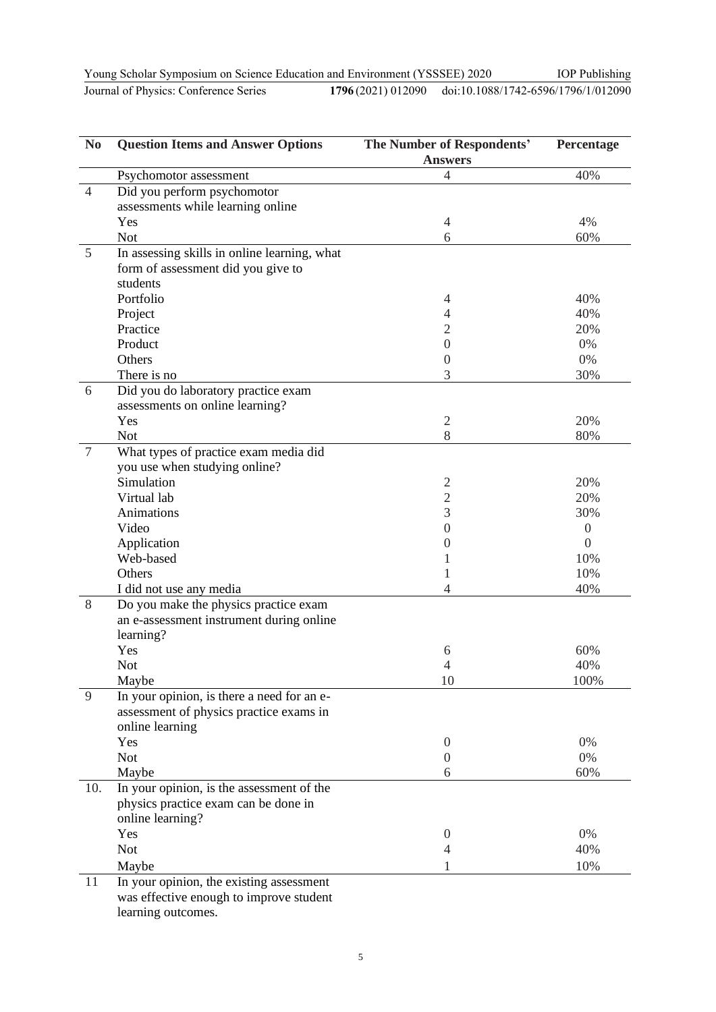Young Scholar Symposium on Science Education and Environment (YSSSEE) 2020 Journal of Physics: Conference Series **1796** (2021) 012090

| oung Scholar Symposium on Science Education and Environment (YSSSEE) 2020 |  |
|---------------------------------------------------------------------------|--|
|                                                                           |  |

doi:10.1088/1742-6596/1796/1/012090

IOP Publishing

| N <sub>0</sub> | <b>Question Items and Answer Options</b>            | The Number of Respondents' | Percentage     |
|----------------|-----------------------------------------------------|----------------------------|----------------|
|                |                                                     | <b>Answers</b>             |                |
|                | Psychomotor assessment                              | 4                          | 40%            |
| $\overline{4}$ | Did you perform psychomotor                         |                            |                |
|                | assessments while learning online                   |                            |                |
|                | Yes                                                 | 4                          | 4%             |
|                | <b>Not</b>                                          | 6                          | 60%            |
| 5              | In assessing skills in online learning, what        |                            |                |
|                | form of assessment did you give to                  |                            |                |
|                | students                                            |                            |                |
|                | Portfolio                                           | 4                          | 40%            |
|                | Project                                             | 4                          | 40%            |
|                | Practice                                            | $\overline{2}$             | 20%            |
|                | Product                                             | $\boldsymbol{0}$           | 0%             |
|                | Others                                              | $\overline{0}$             | $0\%$          |
|                | There is no                                         | 3                          | 30%            |
| 6              | Did you do laboratory practice exam                 |                            |                |
|                | assessments on online learning?                     |                            |                |
|                | Yes                                                 | $\sqrt{2}$                 | 20%            |
|                | <b>Not</b>                                          | 8                          | 80%            |
| $\overline{7}$ | What types of practice exam media did               |                            |                |
|                | you use when studying online?                       |                            |                |
|                | Simulation                                          | 2                          | 20%            |
|                | Virtual lab                                         | $\overline{2}$             | 20%            |
|                | Animations                                          | 3                          | 30%            |
|                | Video                                               | $\boldsymbol{0}$           | $\overline{0}$ |
|                | Application                                         | 0                          | $\overline{0}$ |
|                | Web-based                                           | 1                          | 10%            |
|                | Others                                              | 1                          | 10%            |
|                | I did not use any media                             | $\overline{4}$             | 40%            |
| 8              | Do you make the physics practice exam               |                            |                |
|                | an e-assessment instrument during online            |                            |                |
|                | learning?                                           |                            |                |
|                | Yes                                                 | 6                          | 60%            |
|                | <b>Not</b>                                          | 4<br>10                    | 40%<br>100%    |
| 9              | Maybe<br>In your opinion, is there a need for an e- |                            |                |
|                | assessment of physics practice exams in             |                            |                |
|                | online learning                                     |                            |                |
|                | Yes                                                 | $\boldsymbol{0}$           | 0%             |
|                | <b>Not</b>                                          | $\boldsymbol{0}$           | $0\%$          |
|                | Maybe                                               | 6                          | 60%            |
| 10.            | In your opinion, is the assessment of the           |                            |                |
|                | physics practice exam can be done in                |                            |                |
|                | online learning?                                    |                            |                |
|                | Yes                                                 | $\theta$                   | 0%             |
|                | <b>Not</b>                                          | 4                          | 40%            |
|                |                                                     | 1                          | 10%            |
|                | Maybe                                               |                            |                |
| 11             | In your opinion, the existing assessment            |                            |                |
|                | was effective enough to improve student             |                            |                |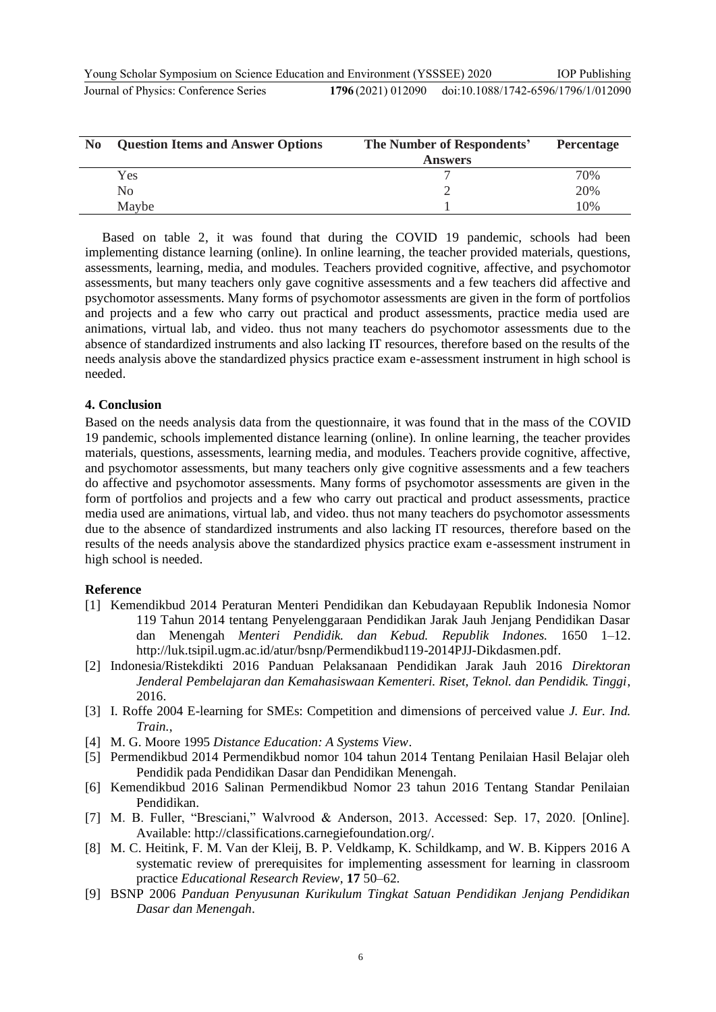Young Scholar Symposium on Science Education and Environment (YSSSEE) 2020 **Journal of Physics: Conference Series** IOP Publishing 1796(2021) 012090 doi:10.1088/1742-6596/1796/1/012090

| N <sub>0</sub> | <b>Question Items and Answer Options</b> | The Number of Respondents' | <b>Percentage</b> |
|----------------|------------------------------------------|----------------------------|-------------------|
|                |                                          | <b>Answers</b>             |                   |
|                | Yes                                      |                            | 70%               |
|                | No                                       |                            | 20%               |
|                | Maybe                                    |                            | 10%               |

Based on table 2, it was found that during the COVID 19 pandemic, schools had been implementing distance learning (online). In online learning, the teacher provided materials, questions, assessments, learning, media, and modules. Teachers provided cognitive, affective, and psychomotor assessments, but many teachers only gave cognitive assessments and a few teachers did affective and psychomotor assessments. Many forms of psychomotor assessments are given in the form of portfolios and projects and a few who carry out practical and product assessments, practice media used are animations, virtual lab, and video. thus not many teachers do psychomotor assessments due to the absence of standardized instruments and also lacking IT resources, therefore based on the results of the needs analysis above the standardized physics practice exam e-assessment instrument in high school is needed.

#### **4. Conclusion**

Based on the needs analysis data from the questionnaire, it was found that in the mass of the COVID 19 pandemic, schools implemented distance learning (online). In online learning, the teacher provides materials, questions, assessments, learning media, and modules. Teachers provide cognitive, affective, and psychomotor assessments, but many teachers only give cognitive assessments and a few teachers do affective and psychomotor assessments. Many forms of psychomotor assessments are given in the form of portfolios and projects and a few who carry out practical and product assessments, practice media used are animations, virtual lab, and video. thus not many teachers do psychomotor assessments due to the absence of standardized instruments and also lacking IT resources, therefore based on the results of the needs analysis above the standardized physics practice exam e-assessment instrument in high school is needed.

#### **Reference**

- [1] Kemendikbud 2014 Peraturan Menteri Pendidikan dan Kebudayaan Republik Indonesia Nomor 119 Tahun 2014 tentang Penyelenggaraan Pendidikan Jarak Jauh Jenjang Pendidikan Dasar dan Menengah *Menteri Pendidik. dan Kebud. Republik Indones.* 1650 1–12. http://luk.tsipil.ugm.ac.id/atur/bsnp/Permendikbud119-2014PJJ-Dikdasmen.pdf.
- [2] Indonesia/Ristekdikti 2016 Panduan Pelaksanaan Pendidikan Jarak Jauh 2016 *Direktoran Jenderal Pembelajaran dan Kemahasiswaan Kementeri. Riset, Teknol. dan Pendidik. Tinggi*, 2016.
- [3] I. Roffe 2004 E-learning for SMEs: Competition and dimensions of perceived value *J. Eur. Ind. Train.*,
- [4] M. G. Moore 1995 *Distance Education: A Systems View*.
- [5] Permendikbud 2014 Permendikbud nomor 104 tahun 2014 Tentang Penilaian Hasil Belajar oleh Pendidik pada Pendidikan Dasar dan Pendidikan Menengah.
- [6] Kemendikbud 2016 Salinan Permendikbud Nomor 23 tahun 2016 Tentang Standar Penilaian Pendidikan.
- [7] M. B. Fuller, "Bresciani," Walvrood & Anderson, 2013. Accessed: Sep. 17, 2020. [Online]. Available: http://classifications.carnegiefoundation.org/.
- [8] M. C. Heitink, F. M. Van der Kleij, B. P. Veldkamp, K. Schildkamp, and W. B. Kippers 2016 A systematic review of prerequisites for implementing assessment for learning in classroom practice *Educational Research Review*, **17** 50–62.
- [9] BSNP 2006 *Panduan Penyusunan Kurikulum Tingkat Satuan Pendidikan Jenjang Pendidikan Dasar dan Menengah*.